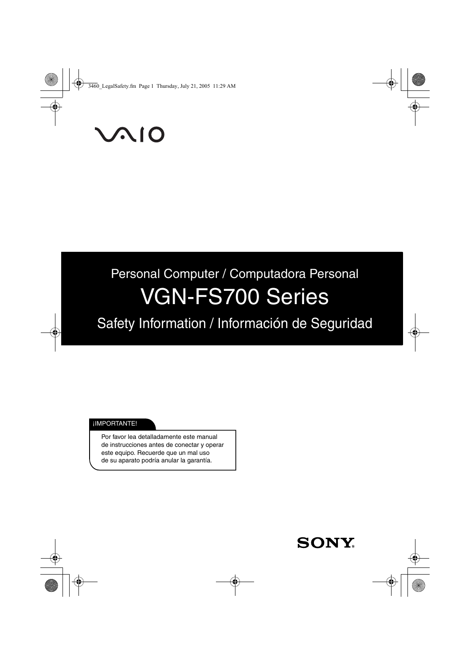



# Personal Computer / Computadora Personal VGN-FS700 Series

Safety Information / Información de Seguridad

#### **IMPORTANTE!**

Por favor lea detalladamente este manual de instrucciones antes de conectar y operar este equipo. Recuerde que un mal uso de su aparato podría anular la garantía.

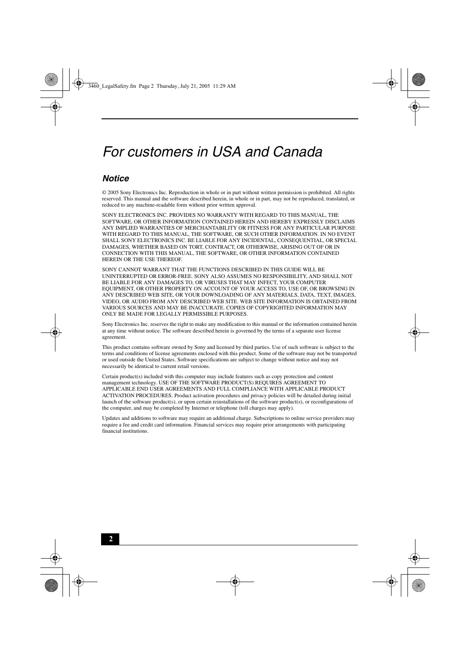3460\_LegalSafety.fm Page 2 Thursday, July 21, 2005 11:29 AM

# *For customers in USA and Canada*

#### *Notice*

© 2005 Sony Electronics Inc. Reproduction in whole or in part without written permission is prohibited. All rights reserved. This manual and the software described herein, in whole or in part, may not be reproduced, translated, or reduced to any machine-readable form without prior written approval.

SONY ELECTRONICS INC. PROVIDES NO WARRANTY WITH REGARD TO THIS MANUAL, THE SOFTWARE, OR OTHER INFORMATION CONTAINED HEREIN AND HEREBY EXPRESSLY DISCLAIMS ANY IMPLIED WARRANTIES OF MERCHANTABILITY OR FITNESS FOR ANY PARTICULAR PURPOSE WITH REGARD TO THIS MANUAL, THE SOFTWARE, OR SUCH OTHER INFORMATION. IN NO EVENT SHALL SONY ELECTRONICS INC. BE LIABLE FOR ANY INCIDENTAL, CONSEQUENTIAL, OR SPECIAL DAMAGES, WHETHER BASED ON TORT, CONTRACT, OR OTHERWISE, ARISING OUT OF OR IN CONNECTION WITH THIS MANUAL, THE SOFTWARE, OR OTHER INFORMATION CONTAINED HEREIN OR THE USE THEREOF.

SONY CANNOT WARRANT THAT THE FUNCTIONS DESCRIBED IN THIS GUIDE WILL BE UNINTERRUPTED OR ERROR-FREE. SONY ALSO ASSUMES NO RESPONSIBILITY, AND SHALL NOT BE LIABLE FOR ANY DAMAGES TO, OR VIRUSES THAT MAY INFECT, YOUR COMPUTER EQUIPMENT, OR OTHER PROPERTY ON ACCOUNT OF YOUR ACCESS TO, USE OF, OR BROWSING IN ANY DESCRIBED WEB SITE, OR YOUR DOWNLOADING OF ANY MATERIALS, DATA, TEXT, IMAGES, VIDEO, OR AUDIO FROM ANY DESCRIBED WEB SITE. WEB SITE INFORMATION IS OBTAINED FROM VARIOUS SOURCES AND MAY BE INACCURATE. COPIES OF COPYRIGHTED INFORMATION MAY ONLY BE MADE FOR LEGALLY PERMISSIBLE PURPOSES.

Sony Electronics Inc. reserves the right to make any modification to this manual or the information contained herein at any time without notice. The software described herein is governed by the terms of a separate user license agreement.

This product contains software owned by Sony and licensed by third parties. Use of such software is subject to the terms and conditions of license agreements enclosed with this product. Some of the software may not be transported or used outside the United States. Software specifications are subject to change without notice and may not necessarily be identical to current retail versions.

Certain product(s) included with this computer may include features such as copy protection and content management technology. USE OF THE SOFTWARE PRODUCT(S) REQUIRES AGREEMENT TO APPLICABLE END USER AGREEMENTS AND FULL COMPLIANCE WITH APPLICABLE PRODUCT ACTIVATION PROCEDURES. Product activation procedures and privacy policies will be detailed during initial launch of the software product(s), or upon certain reinstallations of the software product(s), or reconfigurations of the computer, and may be completed by Internet or telephone (toll charges may apply).

Updates and additions to software may require an additional charge. Subscriptions to online service providers may require a fee and credit card information. Financial services may require prior arrangements with participating financial institutions.

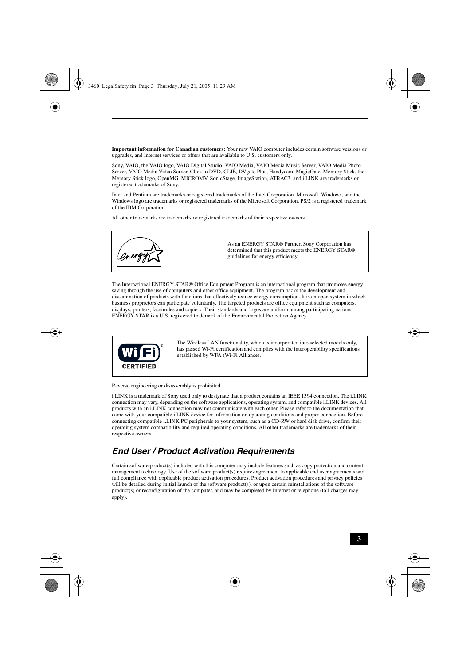3460\_LegalSafety.fm Page 3 Thursday, July 21, 2005 11:29 AM

**Important information for Canadian customers:** Your new VAIO computer includes certain software versions or upgrades, and Internet services or offers that are available to U.S. customers only.

Sony, VAIO, the VAIO logo, VAIO Digital Studio, VAIO Media, VAIO Media Music Server, VAIO Media Photo Server, VAIO Media Video Server, Click to DVD, CLIÉ, DVgate Plus, Handycam, MagicGate, Memory Stick, the Memory Stick logo, OpenMG, MICROMV, SonicStage, ImageStation, ATRAC3, and i.LINK are trademarks or registered trademarks of Sony.

Intel and Pentium are trademarks or registered trademarks of the Intel Corporation. Microsoft, Windows, and the Windows logo are trademarks or registered trademarks of the Microsoft Corporation. PS/2 is a registered trademark of the IBM Corporation.

All other trademarks are trademarks or registered trademarks of their respective owners.

As an ENERGY STAR® Partner, Sony Corporation has determined that this product meets the ENERGY STAR® guidelines for energy efficiency.

The International ENERGY STAR® Office Equipment Program is an international program that promotes energy saving through the use of computers and other office equipment. The program backs the development and dissemination of products with functions that effectively reduce energy consumption. It is an open system in which business proprietors can participate voluntarily. The targeted products are office equipment such as computers, displays, printers, facsimiles and copiers. Their standards and logos are uniform among participating nations. ENERGY STAR is a U.S. registered trademark of the Environmental Protection Agency.



The Wireless LAN functionality, which is incorporated into selected models only, has passed Wi-Fi certification and complies with the interoperability specifications established by WFA (Wi-Fi Alliance).

Reverse engineering or disassembly is prohibited.

i.LINK is a trademark of Sony used only to designate that a product contains an IEEE 1394 connection. The i.LINK connection may vary, depending on the software applications, operating system, and compatible i.LINK devices. All<br>products with an i.LINK connection may not communicate with each other. Please refer to the documentation th came with your compatible i.LINK device for information on operating conditions and proper connection. Before connecting compatible i.LINK PC peripherals to your system, such as a CD-RW or hard disk drive, confirm their operating system compatibility and required operating conditions. All other trademarks are trademarks of their respective owners.

#### *End User / Product Activation Requirements*

Certain software product(s) included with this computer may include features such as copy protection and content management technology. Use of the software product(s) requires agreement to applicable end user agreements and full compliance with applicable product activation procedures. Product activation procedures and privacy policies will be detailed during initial launch of the software product(s), or upon certain reinstallations of the software product(s) or reconfiguration of the computer, and may be completed by Internet or telephone (toll charges may apply).

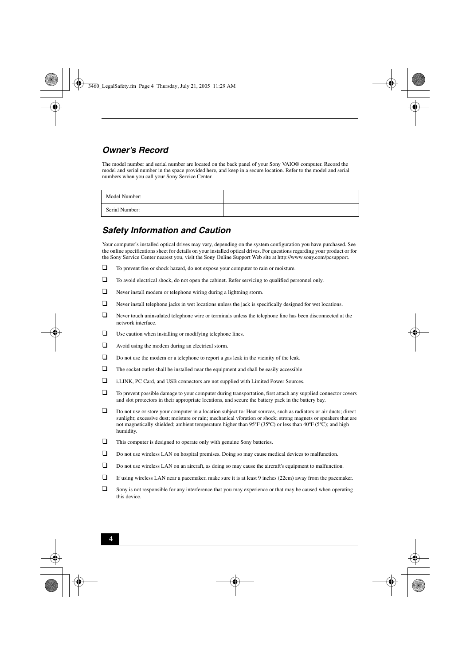3460\_LegalSafety.fm Page 4 Thursday, July 21, 2005 11:29 AM

#### *Owner's Record*

The model number and serial number are located on the back panel of your Sony VAIO® computer. Record the model and serial number in the space provided here, and keep in a secure location. Refer to the model and serial numbers when you call your Sony Service Center.

| Model Number:  |  |
|----------------|--|
| Serial Number: |  |

#### *Safety Information and Caution*

Your computer's installed optical drives may vary, depending on the system configuration you have purchased. See the online specifications sheet for details on your installed optical drives. For questions regarding your product or for the Sony Service Center nearest you, visit the Sony Online Support Web site at http://www.sony.com/pcsupport.

- ❑ To prevent fire or shock hazard, do not expose your computer to rain or moisture.
- ❑ To avoid electrical shock, do not open the cabinet. Refer servicing to qualified personnel only.
- ❑ Never install modem or telephone wiring during a lightning storm.
- $\Box$  Never install telephone jacks in wet locations unless the jack is specifically designed for wet locations.
- ❑ Never touch uninsulated telephone wire or terminals unless the telephone line has been disconnected at the network interface.
- ❑ Use caution when installing or modifying telephone lines.
- ❑ Avoid using the modem during an electrical storm.
- □ Do not use the modem or a telephone to report a gas leak in the vicinity of the leak.
- ❑ The socket outlet shall be installed near the equipment and shall be easily accessible
- ❑ i.LINK, PC Card, and USB connectors are not supplied with Limited Power Sources.
- ❑ To prevent possible damage to your computer during transportation, first attach any supplied connector covers and slot protectors in their appropriate locations, and secure the battery pack in the battery bay.
- ❑ Do not use or store your computer in a location subject to: Heat sources, such as radiators or air ducts; direct sunlight; excessive dust; moisture or rain; mechanical vibration or shock; strong magnets or speakers that are not magnetically shielded; ambient temperature higher than 95°F (35°C) or less than 40°F (5°C); and high humidity.
- ❑ This computer is designed to operate only with genuine Sony batteries.
- ❑ Do not use wireless LAN on hospital premises. Doing so may cause medical devices to malfunction.
- ❑ Do not use wireless LAN on an aircraft, as doing so may cause the aircraft's equipment to malfunction.
- ❑ If using wireless LAN near a pacemaker, make sure it is at least 9 inches (22cm) away from the pacemaker.
- ❑ Sony is not responsible for any interference that you may experience or that may be caused when operating this device.

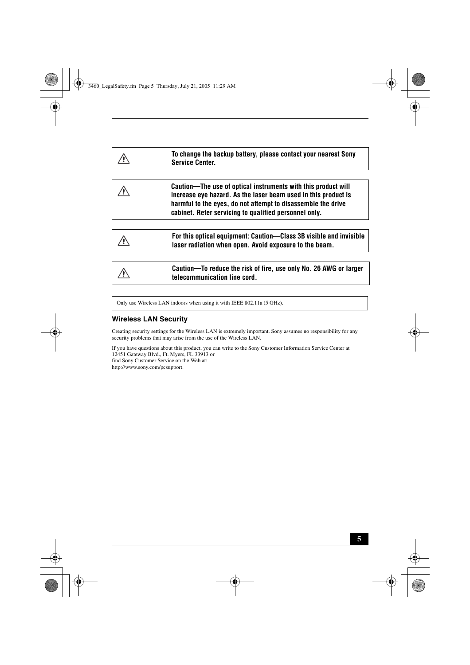

Only use Wireless LAN indoors when using it with IEEE 802.11a (5 GHz).

#### **Wireless LAN Security**

Creating security settings for the Wireless LAN is extremely important. Sony assumes no responsibility for any security problems that may arise from the use of the Wireless LAN.

If you have questions about this product, you can write to the Sony Customer Information Service Center at 12451 Gateway Blvd., Ft. Myers, FL 33913 or find Sony Customer Service on the Web at:

http://www.sony.com/pcsupport.

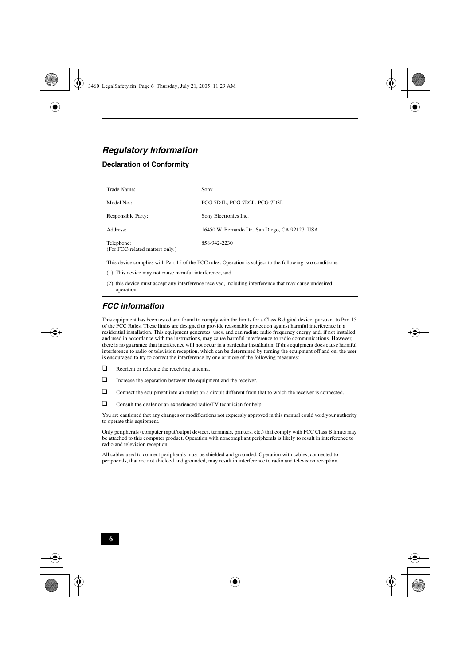### *Regulatory Information*

#### **Declaration of Conformity**

| Trade Name:                                                                                                          | Sony                                            |  |
|----------------------------------------------------------------------------------------------------------------------|-------------------------------------------------|--|
| Model No.:                                                                                                           | PCG-7D1L, PCG-7D2L, PCG-7D3L                    |  |
| Responsible Party:                                                                                                   | Sony Electronics Inc.                           |  |
| Address:                                                                                                             | 16450 W. Bernardo Dr., San Diego, CA 92127, USA |  |
| Telephone:<br>(For FCC-related matters only.)                                                                        | 858-942-2230                                    |  |
| This device complies with Part 15 of the FCC rules. Operation is subject to the following two conditions:            |                                                 |  |
| (1) This device may not cause harmful interference, and                                                              |                                                 |  |
| (2) this device must accept any interference received, including interference that may cause undesired<br>operation. |                                                 |  |

#### *FCC information*

This equipment has been tested and found to comply with the limits for a Class B digital device, pursuant to Part 15 of the FCC Rules. These limits are designed to provide reasonable protection against harmful interference in a residential installation. This equipment generates, uses, and can radiate radio frequency energy and, if not installed and used in accordance with the instructions, may cause harmful interference to radio communications. However, there is no guarantee that interference will not occur in a particular installation. If this equipment does cause harmful interference to radio or television reception, which can be determined by turning the equipment off and on, the user is encouraged to try to correct the interference by one or more of the following measures:

- ❑ Reorient or relocate the receiving antenna.
- ❑ Increase the separation between the equipment and the receiver.
- ❑ Connect the equipment into an outlet on a circuit different from that to which the receiver is connected.
- ❑ Consult the dealer or an experienced radio/TV technician for help.

You are cautioned that any changes or modifications not expressly approved in this manual could void your authority to operate this equipment.

Only peripherals (computer input/output devices, terminals, printers, etc.) that comply with FCC Class B limits may be attached to this computer product. Operation with noncompliant peripherals is likely to result in interference to radio and television reception.

All cables used to connect peripherals must be shielded and grounded. Operation with cables, connected to peripherals, that are not shielded and grounded, may result in interference to radio and television reception.

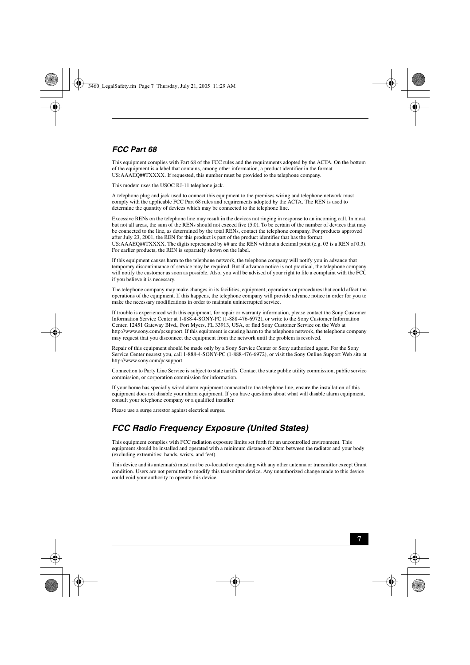3460\_LegalSafety.fm Page 7 Thursday, July 21, 2005 11:29 AM

#### *FCC Part 68*

This equipment complies with Part 68 of the FCC rules and the requirements adopted by the ACTA. On the bottom of the equipment is a label that contains, among other information, a product identifier in the format US:AAAEQ##TXXXX. If requested, this number must be provided to the telephone company.

This modem uses the USOC RJ-11 telephone jack.

A telephone plug and jack used to connect this equipment to the premises wiring and telephone network must comply with the applicable FCC Part 68 rules and requirements adopted by the ACTA. The REN is used to determine the quantity of devices which may be connected to the telephone line.

Excessive RENs on the telephone line may result in the devices not ringing in response to an incoming call. In most, but not all areas, the sum of the RENs should not exceed five (5.0). To be certain of the number of devices that may be connected to the line, as determined by the total RENs, contact the telephone company. For products approved after July 23, 2001, the REN for this product is part of the product identifier that has the format US:AAAEQ##TXXXX. The digits represented by ## are the REN without a decimal point (e.g. 03 is a REN of 0.3). For earlier products, the REN is separately shown on the label.

If this equipment causes harm to the telephone network, the telephone company will notify you in advance that temporary discontinuance of service may be required. But if advance notice is not practical, the telephone company will notify the customer as soon as possible. Also, you will be advised of your right to file a complaint with the FCC if you believe it is necessary.

The telephone company may make changes in its facilities, equipment, operations or procedures that could affect the operations of the equipment. If this happens, the telephone company will provide advance notice in order for you to make the necessary modifications in order to maintain uninterrupted service.

If trouble is experienced with this equipment, for repair or warranty information, please contact the Sony Customer Information Service Center at 1-888-4-SONY-PC (1-888-476-6972), or write to the Sony Customer Information Center, 12451 Gateway Blvd., Fort Myers, FL 33913, USA, or find Sony Customer Service on the Web at http://www.sony.com/pcsupport. If this equipment is causing harm to the telephone network, the telephone company may request that you disconnect the equipment from the network until the problem is resolved.

Repair of this equipment should be made only by a Sony Service Center or Sony authorized agent. For the Sony Service Center nearest you, call 1-888-4-SONY-PC (1-888-476-6972), or visit the Sony Online Support Web site at http://www.sony.com/pcsupport.

Connection to Party Line Service is subject to state tariffs. Contact the state public utility commission, public service commission, or corporation commission for information.

If your home has specially wired alarm equipment connected to the telephone line, ensure the installation of this equipment does not disable your alarm equipment. If you have questions about what will disable alarm equipment, consult your telephone company or a qualified installer.

Please use a surge arrestor against electrical surges.

#### *FCC Radio Frequency Exposure (United States)*

This equipment complies with FCC radiation exposure limits set forth for an uncontrolled environment. This equipment should be installed and operated with a minimum distance of 20cm between the radiator and your body (excluding extremities: hands, wrists, and feet).

This device and its antenna(s) must not be co-located or operating with any other antenna or transmitter except Grant condition. Users are not permitted to modify this transmitter device. Any unauthorized change made to this device could void your authority to operate this device.

**7**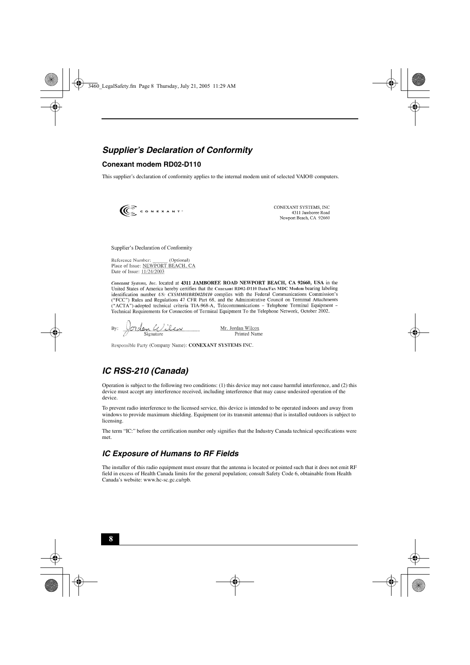3460\_LegalSafety.fm Page 8 Thursday, July 21, 2005 11:29 AM

#### *Supplier's Declaration of Conformity*

#### **Conexant modem RD02-D110**

This supplier's declaration of conformity applies to the internal modem unit of selected VAIO® computers.

CONSTANT-

CONEXANT SYSTEMS, INC 4311 Jamboree Road<br>Newport Beach, CA 92660

Supplier's Declaration of Conformity

Reference Number: (Optional) Reference Number: (Optional)<br>Place of Issue: <u>NEWPORT BEACH, CA</u><br>Date of Issue:  $11/24/2003$ 

Conexant Systems, Inc. located at 4311 JAMBOREE ROAD NEWPORT BEACH, CA 92660, USA in the United States of America hereby certifies that the Conexant RD02-D110 Data/Fax MDC Modem bearing labeling officiation number US: CXSMM01BRD02D110 complies with the Federal Communications Communisorio identification number US: CXSMM01BRD02D110 complies with the Federal Communications Communisorio<sup>n</sup> ("FCC") Rules and Regulation

By: Jordan Wiles

Mr. Jordan Wilcox<br>Printed Name

Responsible Party (Company Name): CONEXANT SYSTEMS INC.

### *IC RSS-210 (Canada)*

Operation is subject to the following two conditions: (1) this device may not cause harmful interference, and (2) this device must accept any interference received, including interference that may cause undesired operation of the device.

To prevent radio interference to the licensed service, this device is intended to be operated indoors and away from windows to provide maximum shielding. Equipment (or its transmit antenna) that is installed outdoors is subject to licensing.

The term "IC:" before the certification number only signifies that the Industry Canada technical specifications were met.

#### *IC Exposure of Humans to RF Fields*

The installer of this radio equipment must ensure that the antenna is located or pointed such that it does not emit RF field in excess of Health Canada limits for the general population; consult Safety Code 6, obtainable from Health Canada's website: www.hc-sc.gc.ca/rpb.

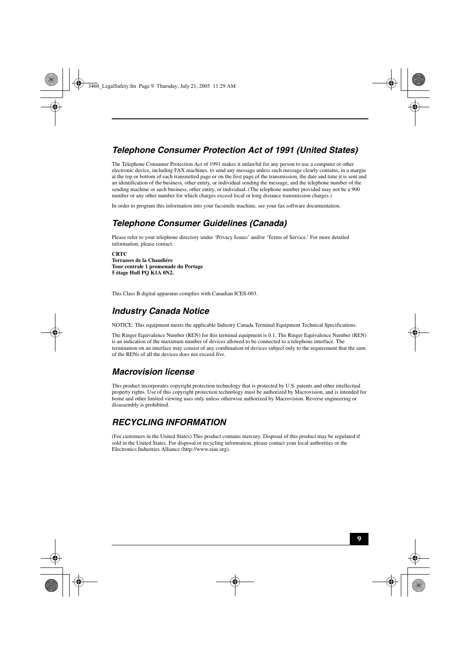3460\_LegalSafety.fm Page 9 Thursday, July 21, 2005 11:29 AM

#### *Telephone Consumer Protection Act of 1991 (United States)*

The Telephone Consumer Protection Act of 1991 makes it unlawful for any person to use a computer or other electronic device, including FAX machines, to send any message unless such message clearly contains, in a margin at the top or bottom of each transmitted page or on the first page of the transmission, the date and time it is sent and an identification of the business, other entity, or individual sending the message, and the telephone number of the sending machine or such business, other entity, or individual. (The telephone number provided may not be a 900 number or any other number for which charges exceed local or long distance transmission charges.)

In order to program this information into your facsimile machine, see your fax software documentation.

#### *Telephone Consumer Guidelines (Canada)*

Please refer to your telephone directory under 'Privacy Issues' and/or 'Terms of Service.' For more detailed information, please contact:

**CRTC Terrasses de la Chaudiére Tour centrale 1 promenade du Portage 5 étage Hull PQ K1A 0N2.**

This Class B digital apparatus complies with Canadian ICES-003.

#### *Industry Canada Notice*

NOTICE: This equipment meets the applicable Industry Canada Terminal Equipment Technical Specifications.

The Ringer Equivalence Number (REN) for this terminal equipment is 0.1. The Ringer Equivalence Number (REN) is an indication of the maximum number of devices allowed to be connected to a telephone interface. The termination on an interface may consist of any combination of devices subject only to the requirement that the sum of the RENs of all the devices does not exceed five.

#### *Macrovision license*

This product incorporates copyright protection technology that is protected by U.S. patents and other intellectual property rights. Use of this copyright protection technology must be authorized by Macrovision, and is intended for home and other limited viewing uses only unless otherwise authorized by Macrovision. Reverse engineering or disassembly is prohibited.

#### *RECYCLING INFORMATION*

(For customers in the United States) This product contains mercury. Disposal of this product may be regulated if sold in the United States. For disposal or recycling information, please contact your local authorities or the Electronics Industries Alliance (http://www.eiae.org).

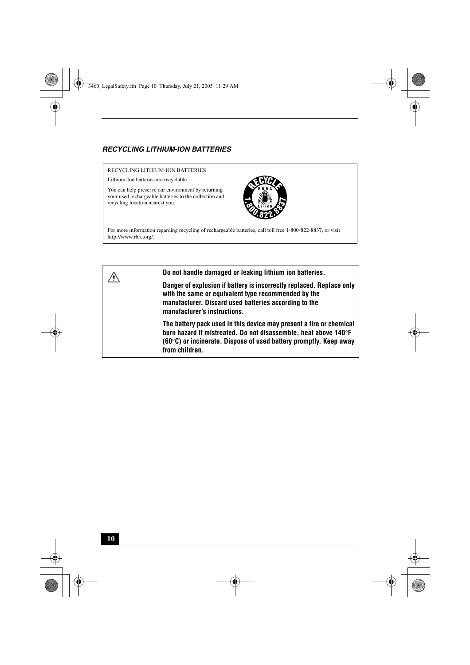#### *RECYCLING LITHIUM-ION BATTERIES*

RECYCLING LITHIUM-ION BATTERIES Lithium-Ion batteries are recyclable.

You can help preserve our environment by returning your used rechargeable batteries to the collection and recycling location nearest you.



For more information regarding recycling of rechargeable batteries, call toll free 1-800-822-8837, or visit http://www.rbrc.org/.



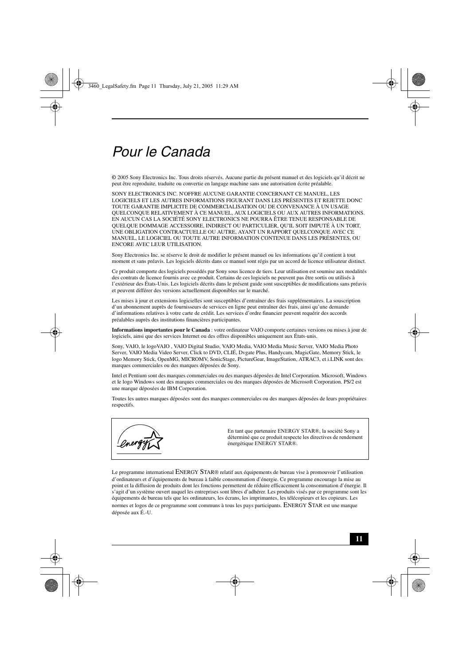# *Pour le Canada*

**©** 2005 Sony Electronics Inc. Tous droits réservés. Aucune partie du présent manuel et des logiciels qu'il décrit ne peut être reproduite, traduite ou convertie en langage machine sans une autorisation écrite préalable.

SONY ELECTRONICS INC. N'OFFRE AUCUNE GARANTIE CONCERNANT CE MANUEL, LES LOGICIELS ET LES AUTRES INFORMATIONS FIGURANT DANS LES PRÉSENTES ET REJETTE DONC TOUTE GARANTIE IMPLICITE DE COMMERCIALISATION OU DE CONVENANCE À UN USAGE QUELCONQUE RELATIVEMENT À CE MANUEL, AUX LOGICIELS OU AUX AUTRES INFORMATIONS. EN AUCUN CAS LA SOCIÉTÉ SONY ELECTRONICS NE POURRA ÊTRE TENUE RESPONSABLE DE QUELQUE DOMMAGE ACCESSOIRE, INDIRECT OU PARTICULIER, QU'IL SOIT IMPUTÉ À UN TORT, UNE OBLIGATION CONTRACTUELLE OU AUTRE, AYANT UN RAPPORT QUELCONQUE AVEC CE MANUEL, LE LOGICIEL OU TOUTE AUTRE INFORMATION CONTENUE DANS LES PRÉSENTES, OU ENCORE AVEC LEUR UTILISATION.

Sony Electronics Inc. se réserve le droit de modifier le présent manuel ou les informations qu'il contient à tout moment et sans préavis. Les logiciels décrits dans ce manuel sont régis par un accord de licence utilisateur distinct.

Ce produit comporte des logiciels possédés par Sony sous licence de tiers. Leur utilisation est soumise aux modalités des contrats de licence fournis avec ce produit. Certains de ces logiciels ne peuvent pas être sortis ou utilisés à l'extérieur des États-Unis. Les logiciels décrits dans le présent guide sont susceptibles de modifications sans préavis et peuvent différer des versions actuellement disponibles sur le marché.

Les mises à jour et extensions logicielles sont susceptibles d'entraîner des frais supplémentaires. La souscription d'un abonnement auprès de fournisseurs de services en ligne peut entraîner des frais, ainsi qu'une demande d'informations relatives à votre carte de crédit. Les services d'ordre financier peuvent requérir des accords préalables auprès des institutions financières participantes.

**Informations importantes pour le Canada** : votre ordinateur VAIO comporte certaines versions ou mises à jour de logiciels, ainsi que des services Internet ou des offres disponibles uniquement aux États-unis.

Sony, VAIO, le logoVAIO , VAIO Digital Studio, VAIO Media, VAIO Media Music Server, VAIO Media Photo Server, VAIO Media Video Server, Click to DVD, CLIÉ, Dvgate Plus, Handycam, MagicGate, Memory Stick, le logo Memory Stick, OpenMG, MICROMV, SonicStage, PictureGear, ImageStation, ATRAC3, et i.LINK sont des marques commerciales ou des marques déposées de Sony.

Intel et Pentium sont des marques commerciales ou des marques déposées de Intel Corporation. Microsoft, Windows et le logo Windows sont des marques commerciales ou des marques déposées de Microsoft Corporation. PS/2 est une marque déposées de IBM Corporation.

Toutes les autres marques déposées sont des marques commerciales ou des marques déposées de leurs propriétaires respectifs.

En tant que partenaire ENERGY STAR®, la société Sony a déterminé que ce produit respecte les directives de rendement énergétique ENERGY STAR®.

Le programme international ENERGY STAR® relatif aux équipements de bureau vise à promouvoir l'utilisation d'ordinateurs et d'équipements de bureau à faible consommation d'énergie. Ce programme encourage la mise au point et la diffusion de produits dont les fonctions permettent de réduire efficacement la consommation d'énergie. Il s'agit d'un système ouvert auquel les entreprises sont libres d'adhérer. Les produits visés par ce programme sont les équipements de bureau tels que les ordinateurs, les écrans, les imprimantes, les télécopieurs et les copieurs. Les normes et logos de ce programme sont communs à tous les pays participants. ENERGY STAR est une marque déposée aux É.-U.

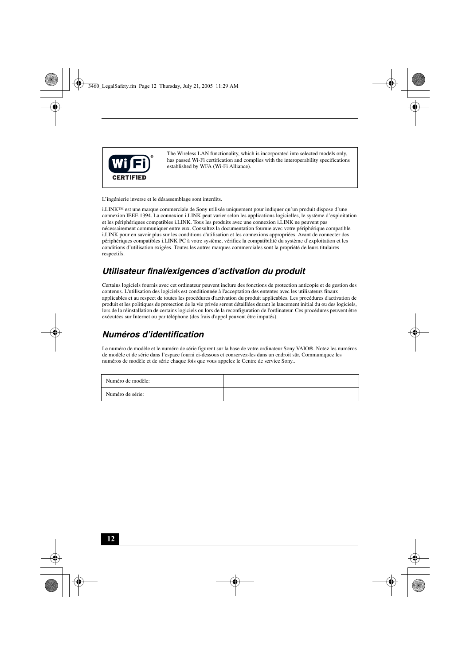3460\_LegalSafety.fm Page 12 Thursday, July 21, 2005 11:29 AM





The Wireless LAN functionality, which is incorporated into selected models only, has passed Wi-Fi certification and complies with the interoperability specifications established by WFA (Wi-Fi Alliance).

#### L'ingénierie inverse et le désassemblage sont interdits.

i.LINK™ est une marque commerciale de Sony utilisée uniquement pour indiquer qu'un produit dispose d'une connexion IEEE 1394. La connexion i.LINK peut varier selon les applications logicielles, le système d'exploitation et les périphériques compatibles i.LINK. Tous les produits avec une connexion i.LINK ne peuvent pas nécessairement communiquer entre eux. Consultez la documentation fournie avec votre périphérique compatible i.LINK pour en savoir plus sur les conditions d'utilisation et les connexions appropriées. Avant de connecter des périphériques compatibles i.LINK PC à votre système, vérifiez la compatibilité du système d'exploitation et les conditions d'utilisation exigées. Toutes les autres marques commerciales sont la propriété de leurs titulaires respectifs.

#### *Utilisateur final/exigences d'activation du produit*

Certains logiciels fournis avec cet ordinateur peuvent inclure des fonctions de protection anticopie et de gestion des contenus. L'utilisation des logiciels est conditionnée à l'acceptation des ententes avec les utilisateurs finaux applicables et au respect de toutes les procédures d'activation du produit applicables. Les procédures d'activation de produit et les politiques de protection de la vie privée seront détaillées durant le lancement initial du ou des logiciels, lors de la réinstallation de certains logiciels ou lors de la reconfiguration de l'ordinateur. Ces procédures peuvent être exécutées sur Internet ou par téléphone (des frais d'appel peuvent être imputés).

#### *Numéros d'identification*

Le numéro de modèle et le numéro de série figurent sur la base de votre ordinateur Sony VAIO®. Notez les numéros de modèle et de série dans l'espace fourni ci-dessous et conservez-les dans un endroit sûr. Communiquez les numéros de modèle et de série chaque fois que vous appelez le Centre de service Sony..

| Numéro de modèle: |  |
|-------------------|--|
| Numéro de série:  |  |

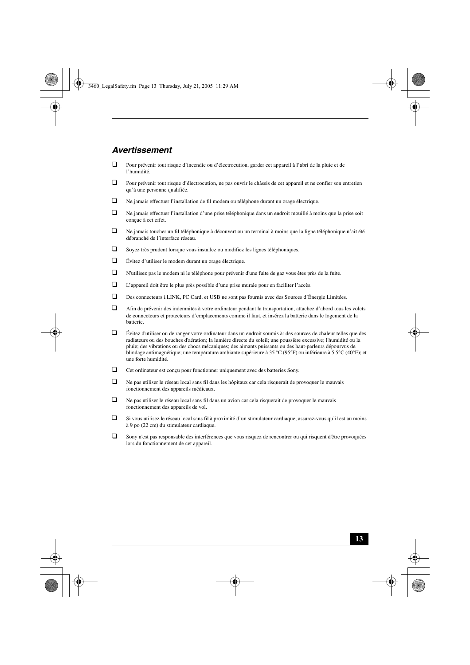#### *Avertissement*

- ❑ Pour prévenir tout risque d'incendie ou d'électrocution, garder cet appareil à l'abri de la pluie et de l'humidité.
- ❑ Pour prévenir tout risque d'électrocution, ne pas ouvrir le châssis de cet appareil et ne confier son entretien qu'à une personne qualifiée.
- ❑ Ne jamais effectuer l'installation de fil modem ou téléphone durant un orage électrique.
- ❑ Ne jamais effectuer l'installation d'une prise téléphonique dans un endroit mouillé à moins que la prise soit conçue à cet effet.
- ❑ Ne jamais toucher un fil téléphonique à découvert ou un terminal à moins que la ligne téléphonique n'ait été débranché de l'interface réseau.
- ❑ Soyez très prudent lorsque vous installez ou modifiez les lignes téléphoniques.
- ❑ Évitez d'utiliser le modem durant un orage électrique.
- ❑ N'utilisez pas le modem ni le téléphone pour prévenir d'une fuite de gaz vous êtes près de la fuite.
- ❑ L'appareil doit être le plus près possible d'une prise murale pour en faciliter l'accès.
- ❑ Des connecteurs i.LINK, PC Card, et USB ne sont pas fournis avec des Sources d'Énergie Limitées.
- ❑ Afin de prévenir des indemnités à votre ordinateur pendant la transportation, attachez d'abord tous les volets de connecteurs et protecteurs d'emplacements comme il faut, et insérez la batterie dans le logement de la batterie.
- ❑ Évitez d'utiliser ou de ranger votre ordinateur dans un endroit soumis à: des sources de chaleur telles que des radiateurs ou des bouches d'aération; la lumière directe du soleil; une poussière excessive; l'humidité ou la pluie; des vibrations ou des chocs mécaniques; des aimants puissants ou des haut-parleurs dépourvus de blindage antimagnétique; une température ambiante supérieure à 35 °C (95°F) ou inférieure à 5 5 °C (40°F); et une forte humidité.
- ❑ Cet ordinateur est conçu pour fonctionner uniquement avec des batteries Sony.
- ❑ Ne pas utiliser le réseau local sans fil dans les hôpitaux car cela risquerait de provoquer le mauvais fonctionnement des appareils médicaux.
- ❑ Ne pas utiliser le réseau local sans fil dans un avion car cela risquerait de provoquer le mauvais fonctionnement des appareils de vol.
- ❑ Si vous utilisez le réseau local sans fil à proximité d'un stimulateur cardiaque, assurez-vous qu'il est au moins à 9 po (22 cm) du stimulateur cardiaque.
- ❑ Sony n'est pas responsable des interférences que vous risquez de rencontrer ou qui risquent d'être provoquées lors du fonctionnement de cet appareil.

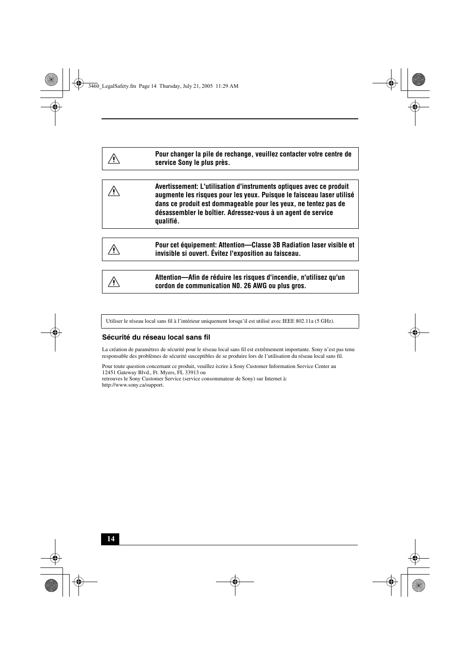

| $\sqrt{V}$ | Pour changer la pile de rechange, veuillez contacter votre centre de<br>service Sony le plus près. |
|------------|----------------------------------------------------------------------------------------------------|
|            |                                                                                                    |

**Avertissement: L'utilisation d'instruments optiques avec ce produit**   $\triangle$ **augmente les risques pour les yeux. Puisque le faisceau laser utilisé dans ce produit est dommageable pour les yeux, ne tentez pas de désassembler le boîtier. Adressez-vous à un agent de service qualifié.**

| $\triangle$ | Pour cet équipement: Attention-Classe 3B Radiation laser visible et<br>invisible si ouvert. Évitez l'exposition au faisceau. |
|-------------|------------------------------------------------------------------------------------------------------------------------------|
|             |                                                                                                                              |

 $\bigwedge$ 

**Attention—Afin de réduire les risques d'incendie, n'utilisez qu'un cordon de communication N0. 26 AWG ou plus gros.**

Utiliser le réseau local sans fil à l'intérieur uniquement lorsqu'il est utilisé avec IEEE 802.11a (5 GHz).

#### **Sécurité du réseau local sans fil**

La création de paramètres de sécurité pour le réseau local sans fil est extrêmement importante. Sony n'est pas tenu responsable des problèmes de sécurité susceptibles de se produire lors de l'utilisation du réseau local sans fil.

Pour toute question concernant ce produit, veuillez ècrire à Sony Customer Information Service Center au 12451 Gateway Blvd., Ft. Myers, FL 33913 ou retrouves le Sony Customer Service (service consommateur de Sony) sur Internet à: http://www.sony.ca/support.

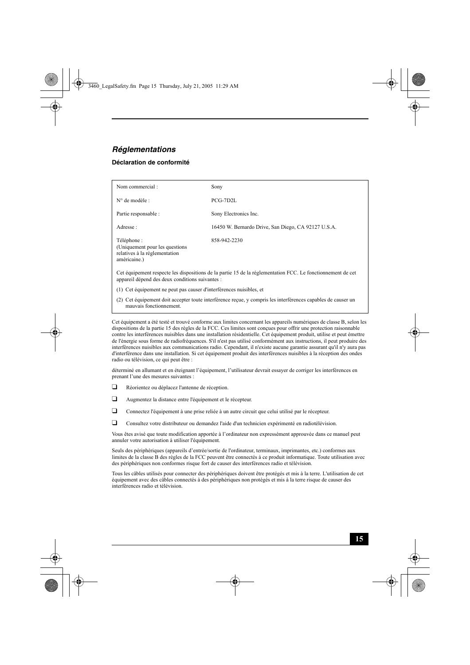#### *Réglementations*

#### **Déclaration de conformité**

| Nom commercial:                                                                                                                                                | Sony                                                |  |
|----------------------------------------------------------------------------------------------------------------------------------------------------------------|-----------------------------------------------------|--|
| $N^{\circ}$ de modèle :                                                                                                                                        | $PCG-7D2L$                                          |  |
| Partie responsable :                                                                                                                                           | Sony Electronics Inc.                               |  |
| Adresse:                                                                                                                                                       | 16450 W. Bernardo Drive, San Diego, CA 92127 U.S.A. |  |
| Téléphone:<br>(Uniquement pour les questions)<br>relatives à la réglementation<br>américaine.)                                                                 | 858-942-2230                                        |  |
| Cet équipement respecte les dispositions de la partie 15 de la réglementation FCC. Le fonctionnement de cet<br>appareil dépend des deux conditions suivantes : |                                                     |  |
| (1) Cet équipement ne peut pas causer d'interférences nuisibles, et                                                                                            |                                                     |  |

(2) Cet équipement doit accepter toute interférence reçue, y compris les interférences capables de causer un mauvais fonctionnement.

Cet équipement a été testé et trouvé conforme aux limites concernant les appareils numériques de classe B, selon les dispositions de la partie 15 des règles de la FCC. Ces limites sont conçues pour offrir une protection raisonnable contre les interférences nuisibles dans une installation résidentielle. Cet équipement produit, utilise et peut émettre de l'énergie sous forme de radiofréquences. S'il n'est pas utilisé conformément aux instructions, il peut produire des interférences nuisibles aux communications radio. Cependant, il n'existe aucune garantie assurant qu'il n'y aura pas d'interférence dans une installation. Si cet équipement produit des interférences nuisibles à la réception des ondes radio ou télévision, ce qui peut être :

déterminé en allumant et en éteignant l'équipement, l'utilisateur devrait essayer de corriger les interférences en prenant l'une des mesures suivantes :

- ❑ Réorientez ou déplacez l'antenne de réception.
- ❑ Augmentez la distance entre l'équipement et le récepteur.
- ❑ Connectez l'équipement à une prise reliée à un autre circuit que celui utilisé par le récepteur.
- ❑ Consultez votre distributeur ou demandez l'aide d'un technicien expérimenté en radiotélévision.

Vous êtes avisé que toute modification apportée à l'ordinateur non expressément approuvée dans ce manuel peut annuler votre autorisation à utiliser l'équipement.

Seuls des périphériques (appareils d'entrée/sortie de l'ordinateur, terminaux, imprimantes, etc.) conformes aux limites de la classe B des règles de la FCC peuvent être connectés à ce produit informatique. Toute utilisation avec des périphériques non conformes risque fort de causer des interférences radio et télévision.

Tous les câbles utilisés pour connecter des périphériques doivent être protégés et mis à la terre. L'utilisation de cet équipement avec des câbles connectés à des périphériques non protégés et mis à la terre risque de causer des interférences radio et télévision.

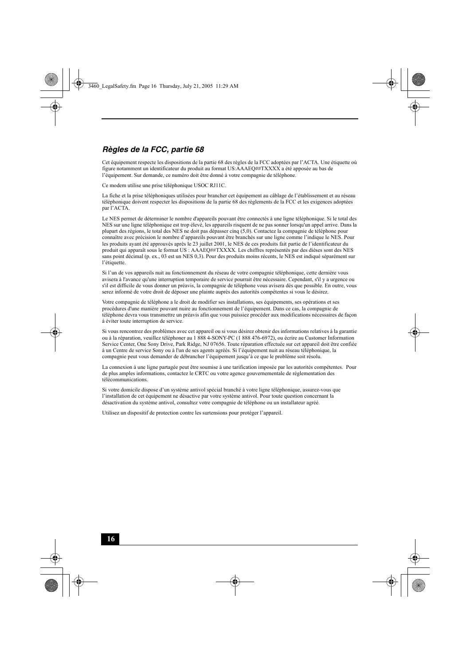3460\_LegalSafety.fm Page 16 Thursday, July 21, 2005 11:29 AM

#### *Règles de la FCC, partie 68*

Cet équipement respecte les dispositions de la partie 68 des règles de la FCC adoptées par l'ACTA. Une étiquette où figure notamment un identificateur du produit au format US:AAAEQ##TXXXX a été apposée au bas de l'équipement. Sur demande, ce numéro doit être donné à votre compagnie de téléphone.

Ce modem utilise une prise téléphonique USOC RJ11C.

La fiche et la prise téléphoniques utilisées pour brancher cet équipement au câblage de l'établissement et au réseau téléphonique doivent respecter les dispositions de la partie 68 des règlements de la FCC et les exigences adoptées par l'ACTA.

Le NES permet de déterminer le nombre d'appareils pouvant être connectés à une ligne téléphonique. Si le total des NES sur une ligne téléphonique est trop élevé, les appareils risquent de ne pas sonner lorsqu'un appel arrive. Dans la<br>plupart des régions, le total des NES ne doit pas dépasser cinq (5,0). Contactez la compagnie de téléph connaître avec précision le nombre d'appareils pouvant être branchés sur une ligne comme l'indique le NES. Pour les produits ayant été approuvés après le 23 juillet 2001, le NES de ces produits fait partie de l'identificateur du produit qui apparaît sous le format US : AAAEQ##TXXXX. Les chiffres représentés par des dièses sont des NES sans point décimal (p. ex., 03 est un NES 0,3). Pour des produits moins récents, le NES est indiqué séparément sur l'étiquette.

Si l'un de vos appareils nuit au fonctionnement du réseau de votre compagnie téléphonique, cette dernière vous avisera à l'avance qu'une interruption temporaire de service pourrait être nécessaire. Cependant, s'il y a urgence ou s'il est difficile de vous donner un préavis, la compagnie de téléphone vous avisera dès que possible. En outre, vous serez informé de votre droit de déposer une plainte auprès des autorités compétentes si vous le désirez.

Votre compagnie de téléphone a le droit de modifier ses installations, ses équipements, ses opérations et ses procédures d'une manière pouvant nuire au fonctionnement de l'équipement. Dans ce cas, la compagnie de téléphone devra vous transmettre un préavis afin que vous puissiez procéder aux modifications nécessaires de façon à éviter toute interruption de service.

Si vous rencontrez des problèmes avec cet appareil ou si vous désirez obtenir des informations relatives à la garantie ou à la réparation, veuillez téléphoner au 1 888 4-SONY-PC (1 888 476-6972), ou écrire au Customer Information<br>Service Center, One Sony Drive, Park Ridge, NJ 07656. Toute réparation effectuée sur cet appareil doit être con à un Centre de service Sony ou à l'un de ses agents agréés. Si l'équipement nuit au réseau téléphonique, la compagnie peut vous demander de débrancher l'équipement jusqu'à ce que le problème soit résolu.

La connexion à une ligne partagée peut être soumise à une tarification imposée par les autorités compétentes. Pour de plus amples informations, contactez le CRTC ou votre agence gouvernementale de réglementation des télécommunications.

Si votre domicile dispose d'un système antivol spécial branché à votre ligne téléphonique, assurez-vous que l'installation de cet équipement ne désactive par votre système antivol. Pour toute question concernant la désactivation du système antivol, consultez votre compagnie de téléphone ou un installateur agréé.

Utilisez un dispositif de protection contre les surtensions pour protéger l'appareil.

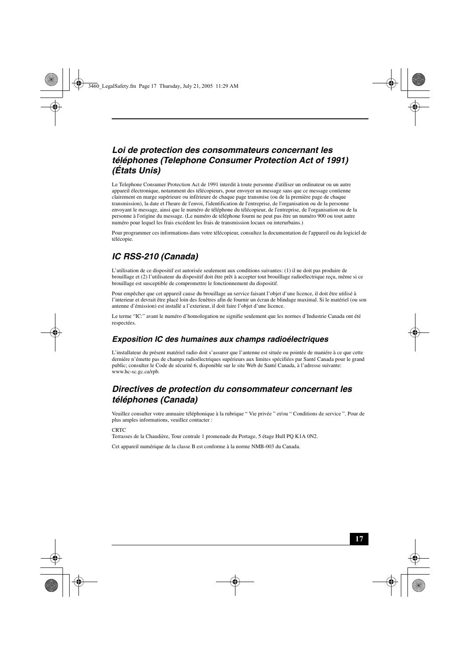3460\_LegalSafety.fm Page 17 Thursday, July 21, 2005 11:29 AM

#### *Loi de protection des consommateurs concernant les téléphones (Telephone Consumer Protection Act of 1991) (États Unis)*

Le Telephone Consumer Protection Act de 1991 interdit à toute personne d'utiliser un ordinateur ou un autre appareil électronique, notamment des télécopieurs, pour envoyer un message sans que ce message contienne clairement en marge supérieure ou inférieure de chaque page transmise (ou de la première page de chaque transmission), la date et l'heure de l'envoi, l'identification de l'entreprise, de l'organisation ou de la personne envoyant le message, ainsi que le numéro de téléphone du télécopieur, de l'entreprise, de l'organisation ou de la personne à l'origine du message. (Le numéro de téléphone fourni ne peut pas être un numéro 900 ou tout autre numéro pour lequel les frais excédent les frais de transmission locaux ou interurbains.)

Pour programmer ces informations dans votre télécopieur, consultez la documentation de l'appareil ou du logiciel de télécopie.

#### *IC RSS-210 (Canada)*

L'utilisation de ce dispositif est autorisée seulement aux conditions suivantes: (1) il ne doit pas produire de brouillage et (2) l'utilisateur du dispositif doit être prêt à accepter tout brouillage radioélectrique reçu, même si ce brouillage est susceptible de compromettre le fonctionnement du dispositif.

Pour empêcher que cet appareil cause du brouillage au service faisant l'objet d'une licence, il doit être utilisé à l'interieur et devrait être placé loin des fenêtres afin de fournir un écran de blindage maximal. Si le matériel (ou son antenne d'émission) est installé a l'exterieur, il doit faire l'objet d'une licence.

Le terme "IC:" avant le numéro d'homologation ne signifie seulement que les normes d'Industrie Canada ont été respectées.

#### *Exposition IC des humaines aux champs radioélectriques*

L'installateur du présent matériel radio doit s'assurer que l'antenne est située ou pointée de maniére à ce que cette derniére n'émette pas de champs radioélectriques supérieurs aux limites spécifiées par Santé Canada pour le grand public; consulter le Code de sécurité 6, disponible sur le site Web de Santé Canada, à l'adresse suivante: www.hc-sc.gc.ca/rpb.

#### *Directives de protection du consommateur concernant les téléphones (Canada)*

Veuillez consulter votre annuaire téléphonique à la rubrique " Vie privée " et/ou " Conditions de service ". Pour de plus amples informations, veuillez contacter :

**CRTC** 

Terrasses de la Chaudière, Tour centrale 1 promenade du Portage, 5 étage Hull PQ K1A 0N2.

Cet appareil numérique de la classe B est conforme à la norme NMB-003 du Canada.

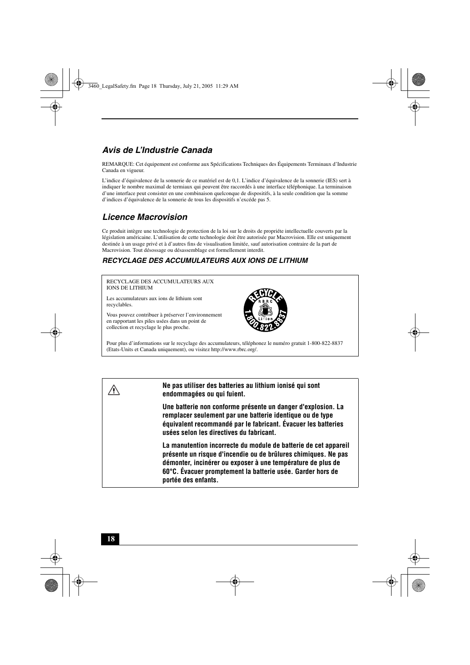3460\_LegalSafety.fm Page 18 Thursday, July 21, 2005 11:29 AM

#### *Avis de L'Industrie Canada*

REMARQUE: Cet équipement est conforme aux Spécifications Techniques des Équipements Terminaux d'Industrie Canada en vigueur.

L'indice d'équivalence de la sonnerie de ce matériel est de 0,1. L'indice d'équivalence de la sonnerie (IES) sert à indiquer le nombre maximal de termiaux qui peuvent être raccordés à une interface téléphonique. La terminaison d'une interface peut consister en une combinaison quelconque de dispositifs, à la seule condition que la somme d'indices d'équivalence de la sonnerie de tous les dispositifs n'excéde pas 5.

#### *Licence Macrovision*

Ce produit intègre une technologie de protection de la loi sur le droits de propriéte intellectuelle couverts par la législation américaine. L'utilisation de cette technologie doit être autorisée par Macrovision. Elle est uniquement destinée à un usage privé et à d'autres fins de visualisation limitée, sauf autorisation contraire de la part de Macrovision. Tout désossage ou désassemblage est formellement interdit.

#### *RECYCLAGE DES ACCUMULATEURS AUX IONS DE LITHIUM*

RECYCLAGE DES ACCUMULATEURS AUX IONS DE LITHIUM

Les accumulateurs aux ions de lithium sont recyclables.

 $\sqrt{2}$ 

Vous pouvez contribuer à préserver l'environnement en rapportant les piles usées dans un point de collection et recyclage le plus proche.



Pour plus d'informations sur le recyclage des accumulateurs, téléphonez le numéro gratuit 1-800-822-8837 (Etats-Units et Canada uniquement), ou visitez http://www.rbrc.org/.

> **Ne pas utiliser des batteries au lithium ionisé qui sont endommagées ou qui fuient.**

> > **Une batterie non conforme présente un danger d'explosion. La remplacer seulement par une batterie identique ou de type équivalent recommandé par le fabricant. Évacuer les batteries usées selon les directives du fabricant.**

**La manutention incorrecte du module de batterie de cet appareil présente un risque d'incendie ou de brûlures chimiques. Ne pas démonter, incinérer ou exposer à une température de plus de 60°C. Évacuer promptement la batterie usée. Garder hors de portée des enfants.**

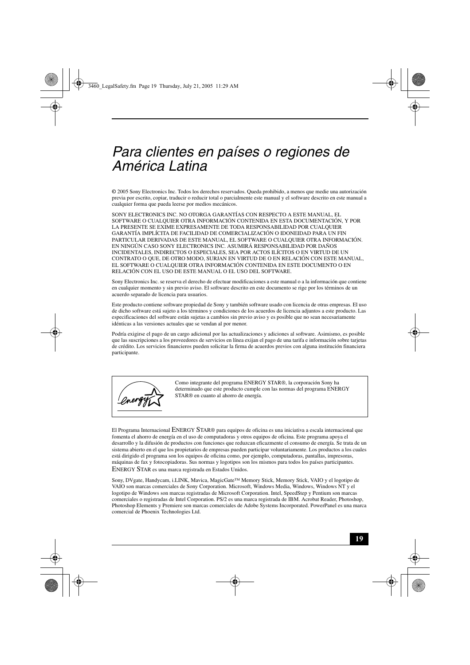3460\_LegalSafety.fm Page 19 Thursday, July 21, 2005 11:29 AM

# *Para clientes en países o regiones de América Latina*

**©** 2005 Sony Electronics Inc. Todos los derechos reservados. Queda prohibido, a menos que medie una autorización previa por escrito, copiar, traducir o reducir total o parcialmente este manual y el software descrito en este manual a cualquier forma que pueda leerse por medios mecánicos.

SONY ELECTRONICS INC. NO OTORGA GARANTÍAS CON RESPECTO A ESTE MANUAL, EL SOFTWARE O CUALQUIER OTRA INFORMACIÓN CONTENIDA EN ESTA DOCUMENTACIÓN, Y POR LA PRESENTE SE EXIME EXPRESAMENTE DE TODA RESPONSABILIDAD POR CUALQUIER GARANTÍA IMPLÍCITA DE FACILIDAD DE COMERCIALIZACIÓN O IDONEIDAD PARA UN FIN PARTICULAR DERIVADAS DE ESTE MANUAL, EL SOFTWARE O CUALQUIER OTRA INFORMACIÓN. EN NINGÚN CASO SONY ELECTRONICS INC. ASUMIRÁ RESPONSABILIDAD POR DAÑOS INCIDENTALES, INDIRECTOS O ESPECIALES, SEA POR ACTOS ILÍCITOS O EN VIRTUD DE UN CONTRATO O QUE, DE OTRO MODO, SURJAN EN VIRTUD DE O EN RELACIÓN CON ESTE MANUAL, EL SOFTWARE O CUALQUIER OTRA INFORMACIÓN CONTENIDA EN ESTE DOCUMENTO O EN RELACIÓN CON EL USO DE ESTE MANUAL O EL USO DEL SOFTWARE.

Sony Electronics Inc. se reserva el derecho de efectuar modificaciones a este manual o a la información que contiene en cualquier momento y sin previo aviso. El software descrito en este documento se rige por los términos de un acuerdo separado de licencia para usuarios.

Este producto contiene software propiedad de Sony y también software usado con licencia de otras empresas. El uso de dicho software está sujeto a los términos y condiciones de los acuerdos de licencia adjuntos a este producto. Las especificaciones del software están sujetas a cambios sin previo aviso y es posible que no sean necesariamente idénticas a las versiones actuales que se vendan al por menor.

Podría exigirse el pago de un cargo adicional por las actualizaciones y adiciones al software. Asimismo, es posible que las suscripciones a los proveedores de servicios en línea exijan el pago de una tarifa e información sobre tarjetas de crédito. Los servicios financieros pueden solicitar la firma de acuerdos previos con alguna institución financiera participante.



Como integrante del programa ENERGY STAR®, la corporación Sony ha determinado que este producto cumple con las normas del programa ENERGY STAR® en cuanto al ahorro de energía.

El Programa Internacional ENERGY STAR® para equipos de oficina es una iniciativa a escala internacional que fomenta el ahorro de energía en el uso de computadoras y otros equipos de oficina. Este programa apoya el desarrollo y la difusión de productos con funciones que reduzcan eficazmente el consumo de energía. Se trata de un sistema abierto en el que los propietarios de empresas pueden participar voluntariamente. Los productos a los cuales está dirigido el programa son los equipos de oficina como, por ejemplo, computadoras, pantallas, impresoras, máquinas de fax y fotocopiadoras. Sus normas y logotipos son los mismos para todos los países participantes. ENERGY STAR es una marca registrada en Estados Unidos.

Sony, DVgate, Handycam, i.LINK, Mavica, MagicGate™ Memory Stick, Memory Stick, VAIO y el logotipo de VAIO son marcas comerciales de Sony Corporation. Microsoft, Windows Media, Windows, Windows NT y el logotipo de Windows son marcas registradas de Microsoft Corporation. Intel, SpeedStep y Pentium son marcas comerciales o registradas de Intel Corporation. PS/2 es una marca registrada de IBM. Acrobat Reader, Photoshop, Photoshop Elements y Premiere son marcas comerciales de Adobe Systems Incorporated. PowerPanel es una marca comercial de Phoenix Technologies Ltd.

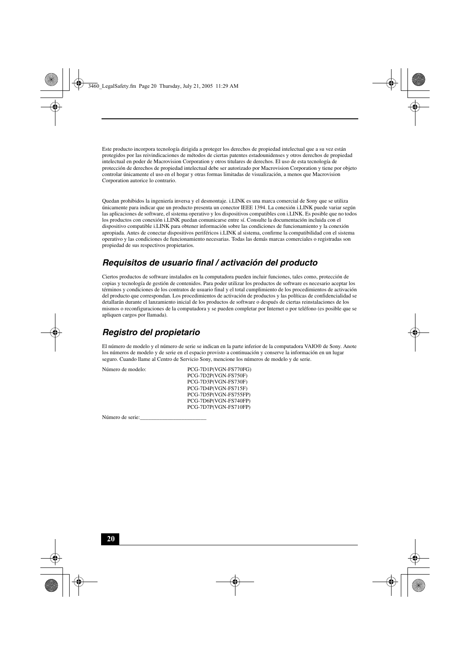3460\_LegalSafety.fm Page 20 Thursday, July 21, 2005 11:29 AM



Este producto incorpora tecnología dirigida a proteger los derechos de propiedad intelectual que a su vez están protegidos por las reivindicaciones de métodos de ciertas patentes estadounidenses y otros derechos de propiedad intelectual en poder de Macrovision Corporation y otros titulares de derechos. El uso de esta tecnología de protección de derechos de propiedad intelectual debe ser autorizado por Macrovision Corporation y tiene por objeto controlar únicamente el uso en el hogar y otras formas limitadas de visualización, a menos que Macrovision Corporation autorice lo contrario.

Quedan prohibidos la ingeniería inversa y el desmontaje. i.LINK es una marca comercial de Sony que se utiliza únicamente para indicar que un producto presenta un conector IEEE 1394. La conexión i.LINK puede variar según las aplicaciones de software, el sistema operativo y los dispositivos compatibles con i.LINK. Es posible que no todos los productos con conexión i.LINK puedan comunicarse entre sí. Consulte la documentación incluida con el dispositivo compatible i.LINK para obtener información sobre las condiciones de funcionamiento y la conexión apropiada. Antes de conectar dispositivos periféricos i.LINK al sistema, confirme la compatibilidad con el sistema operativo y las condiciones de funcionamiento necesarias. Todas las demás marcas comerciales o registradas son propiedad de sus respectivos propietarios.

#### *Requisitos de usuario final / activación del producto*

Ciertos productos de software instalados en la computadora pueden incluir funciones, tales como, protección de copias y tecnología de gestión de contenidos. Para poder utilizar los productos de software es necesario aceptar los términos y condiciones de los contratos de usuario final y el total cumplimiento de los procedimientos de activación del producto que correspondan. Los procedimientos de activación de productos y las políticas de confidencialidad se detallarán durante el lanzamiento inicial de los productos de software o después de ciertas reinstalaciones de los<br>mismos o reconfiguraciones de la computadora y se pueden completar por Internet o por teléfono (es posible apliquen cargos por llamada).

#### *Registro del propietario*

El número de modelo y el número de serie se indican en la parte inferior de la computadora VAIO® de Sony. Anote los números de modelo y de serie en el espacio provisto a continuación y conserve la información en un lugar seguro. Cuando llame al Centro de Servicio Sony, mencione los números de modelo y de serie.

Número de modelo: PCG-7D1P(VGN-FS770FG) PCG-7D2P(VGN-FS750F) PCG-7D3P(VGN-FS730F) PCG-7D4P(VGN-FS715F) PCG-7D5P(VGN-FS755FP) PCG-7D6P(VGN-FS740FP) PCG-7D7P(VGN-FS710FP)

Número de serie:

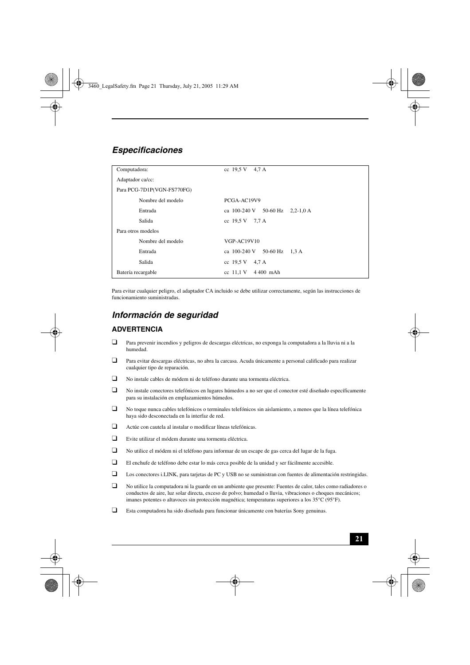#### *Especificaciones*

| Computadora:               | $cc$ 19.5 V<br>4,7 A                     |
|----------------------------|------------------------------------------|
| Adaptador ca/cc:           |                                          |
| Para PCG-7D1P(VGN-FS770FG) |                                          |
| Nombre del modelo          | PCGA-AC19V9                              |
| Entrada                    | ca 100-240 V 50-60 Hz<br>$2,2-1,0$ A     |
| Salida                     | cc $19.5 \text{ V}$ 7.7 A                |
| Para otros modelos         |                                          |
| Nombre del modelo          | $VGP-AC19V10$                            |
| Entrada                    | ca 100-240 V<br>50-60 Hz $1,3 \text{ A}$ |
| Salida                     | $cc$ 19.5 V<br>4,7 A                     |
| Batería recargable         | 4 400 mAh<br>$cc$ 11.1 V                 |

Para evitar cualquier peligro, el adaptador CA incluido se debe utilizar correctamente, según las instrucciones de funcionamiento suministradas.

#### *Información de seguridad*

#### **ADVERTENCIA**

- ❑ Para prevenir incendios y peligros de descargas eléctricas, no exponga la computadora a la lluvia ni a la humedad.
- ❑ Para evitar descargas eléctricas, no abra la carcasa. Acuda únicamente a personal calificado para realizar cualquier tipo de reparación.
- ❑ No instale cables de módem ni de teléfono durante una tormenta eléctrica.
- ❑ No instale conectores telefónicos en lugares húmedos a no ser que el conector esté diseñado específicamente para su instalación en emplazamientos húmedos.
- ❑ No toque nunca cables telefónicos o terminales telefónicos sin aislamiento, a menos que la línea telefónica haya sido desconectada en la interfaz de red.
- ❑ Actúe con cautela al instalar o modificar líneas telefónicas.
- ❑ Evite utilizar el módem durante una tormenta eléctrica.
- ❑ No utilice el módem ni el teléfono para informar de un escape de gas cerca del lugar de la fuga.
- ❑ El enchufe de teléfono debe estar lo más cerca posible de la unidad y ser fácilmente accesible.
- ❑ Los conectores i.LINK, para tarjetas de PC y USB no se suministran con fuentes de alimentación restringidas.
- ❑ No utilice la computadora ni la guarde en un ambiente que presente: Fuentes de calor, tales como radiadores o conductos de aire, luz solar directa, exceso de polvo; humedad o lluvia, vibraciones o choques mecánicos; imanes potentes o altavoces sin protección magnética; temperaturas superiores a los 35°C (95°F).
- ❑ Esta computadora ha sido diseñada para funcionar únicamente con baterías Sony genuinas.

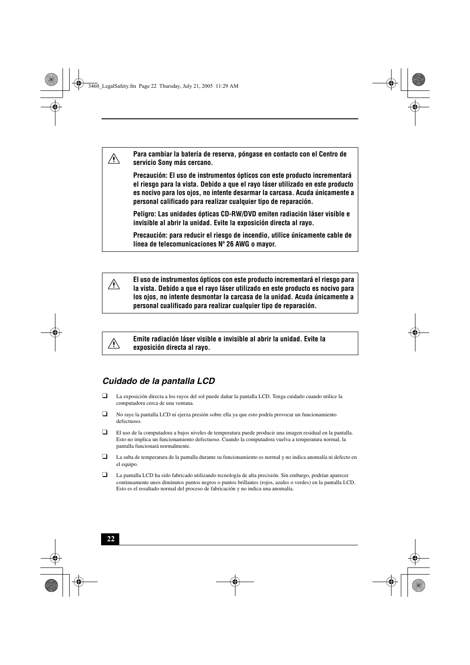$\sqrt{2}$ 

 $\bigwedge$ 



**Para cambiar la batería de reserva, póngase en contacto con el Centro de servicio Sony más cercano.**

**Precaución: El uso de instrumentos ópticos con este producto incrementará el riesgo para la vista. Debido a que el rayo láser utilizado en este producto es nocivo para los ojos, no intente desarmar la carcasa. Acuda únicamente a personal calificado para realizar cualquier tipo de reparación.**

**Peligro: Las unidades ópticas CD-RW/DVD emiten radiación láser visible e invisible al abrir la unidad. Evite la exposición directa al rayo.**

**Precaución: para reducir el riesgo de incendio, utilice únicamente cable de línea de telecomunicaciones Nº 26 AWG o mayor.**

**El uso de instrumentos ópticos con este producto incrementará el riesgo para**   $\sqrt{V}$ **la vista. Debido a que el rayo láser utilizado en este producto es nocivo para los ojos, no intente desmontar la carcasa de la unidad. Acuda únicamente a personal cualificado para realizar cualquier tipo de reparación.**

**Emite radiación láser visible e invisible al abrir la unidad. Evite la exposición directa al rayo.**

#### *Cuidado de la pantalla LCD*

- ❑ La exposición directa a los rayos del sol puede dañar la pantalla LCD. Tenga cuidado cuando utilice la computadora cerca de una ventana.
- ❑ No raye la pantalla LCD ni ejerza presión sobre ella ya que esto podría provocar un funcionamiento defectuoso.
- ❑ El uso de la computadora a bajos niveles de temperatura puede producir una imagen residual en la pantalla. Esto no implica un funcionamiento defectuoso. Cuando la computadora vuelva a temperatura normal, la pantalla funcionará normalmente.
- ❑ La suba de temperatura de la pantalla durante su funcionamiento es normal y no indica anomalía ni defecto en el equipo.
- ❑ La pantalla LCD ha sido fabricado utilizando tecnología de alta precisión. Sin embargo, podrían aparecer continuamente unos diminutos puntos negros o puntos brillantes (rojos, azules o verdes) en la pantalla LCD. Esto es el resultado normal del proceso de fabricación y no indica una anomalía.

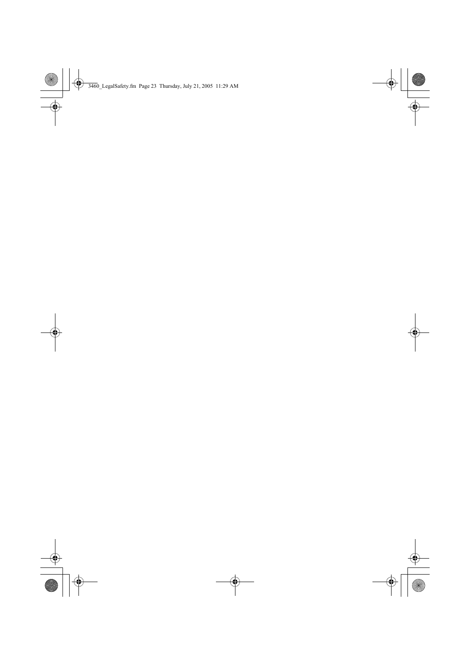